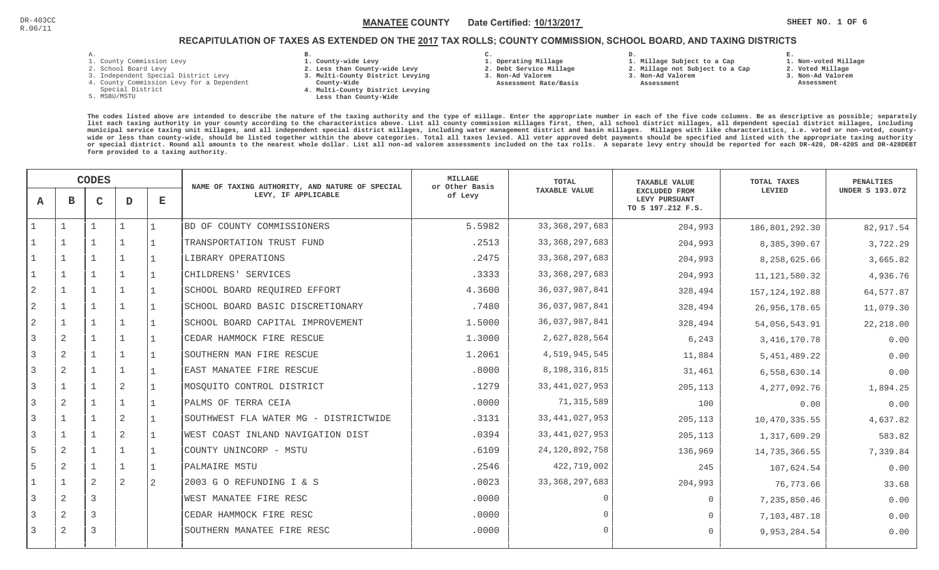**1. Non-voted Millage**

# RECAPITULATION OF TAXES AS EXTENDED ON THE <u>2017</u> TAX ROLLS; COUNTY COMMISSION, SCHOOL BOARD, AND TAXING DISTRICTS

| л. |   |  |  |
|----|---|--|--|
|    | ۰ |  |  |

- 1. County Commission Levy
- 2. School Board Levy
- 3. Independent Special District Levy
- 4. County Commission Levy for a Dependent
- Special District
- 5. MSBU/MSTU
- **B. 1. County-wide Levy**
- **2. Less than County-wide Levy**
- **3. Multi-County District Levying**
- **County-Wide**
- **4. Multi-County District Levying**
	- **Less than County-Wide**

**C. 1. Operating Millage** 

 **2. Debt Service Millage 3. Non-Ad Valorem Assessment Rate/Basis**

- 
- **1. Millage Subject to a Cap**

**D.** 

- **2. Millage not Subject to a Cap3. Non-Ad Valorem**
	- **Assessment**
- **2. Voted Millage**

**E.**

- **3. Non-Ad Valorem Assessment**
- 

|                |                | <b>CODES</b> |                |                    | NAME OF TAXING AUTHORITY, AND NATURE OF SPECIAL | MILLAGE<br>or Other Basis | TOTAL                | <b>TAXABLE VALUE</b>                                | TOTAL TAXES      | <b>PENALTIES</b>       |
|----------------|----------------|--------------|----------------|--------------------|-------------------------------------------------|---------------------------|----------------------|-----------------------------------------------------|------------------|------------------------|
| $\mathbf{A}$   | в              | $\mathbf C$  | D              | $\mathbf{E}% _{0}$ | LEVY, IF APPLICABLE                             | of Levy                   | <b>TAXABLE VALUE</b> | EXCLUDED FROM<br>LEVY PURSUANT<br>TO S 197.212 F.S. | LEVIED           | <b>UNDER S 193.072</b> |
|                |                |              |                |                    | BD OF COUNTY COMMISSIONERS                      | 5.5982                    | 33, 368, 297, 683    | 204,993                                             | 186,801,292.30   | 82,917.54              |
|                |                |              |                |                    | TRANSPORTATION TRUST FUND                       | .2513                     | 33, 368, 297, 683    | 204,993                                             | 8,385,390.67     | 3,722.29               |
|                |                |              |                |                    | LIBRARY OPERATIONS                              | .2475                     | 33, 368, 297, 683    | 204,993                                             | 8,258,625.66     | 3,665.82               |
|                | $\mathbf{1}$   |              | $\mathbf{1}$   |                    | CHILDRENS' SERVICES                             | .3333                     | 33, 368, 297, 683    | 204,993                                             | 11, 121, 580. 32 | 4,936.76               |
| $\overline{a}$ | $\mathbf{1}$   |              |                |                    | SCHOOL BOARD REQUIRED EFFORT                    | 4.3600                    | 36,037,987,841       | 328,494                                             | 157, 124, 192.88 | 64,577.87              |
| $\sqrt{2}$     |                |              |                |                    | SCHOOL BOARD BASIC DISCRETIONARY                | .7480                     | 36,037,987,841       | 328,494                                             | 26,956,178.65    | 11,079.30              |
| $\overline{2}$ |                |              |                |                    | SCHOOL BOARD CAPITAL IMPROVEMENT                | 1.5000                    | 36,037,987,841       | 328,494                                             | 54,056,543.91    | 22, 218.00             |
| 3              | 2              |              |                |                    | CEDAR HAMMOCK FIRE RESCUE                       | 1.3000                    | 2,627,828,564        | 6,243                                               | 3, 416, 170.78   | 0.00                   |
| 3              | $\overline{2}$ |              |                |                    | SOUTHERN MAN FIRE RESCUE                        | 1.2061                    | 4,519,945,545        | 11,884                                              | 5,451,489.22     | 0.00                   |
| 3              | 2              |              |                |                    | EAST MANATEE FIRE RESCUE                        | .8000                     | 8,198,316,815        | 31,461                                              | 6,558,630.14     | 0.00                   |
| 3              | $\mathbf{1}$   |              | 2              |                    | MOSOUITO CONTROL DISTRICT                       | .1279                     | 33, 441, 027, 953    | 205,113                                             | 4,277,092.76     | 1,894.25               |
| 3              | 2              |              |                |                    | PALMS OF TERRA CEIA                             | .0000                     | 71, 315, 589         | 100                                                 | 0.00             | 0.00                   |
| $\overline{3}$ |                |              | $\overline{2}$ |                    | SOUTHWEST FLA WATER MG - DISTRICTWIDE           | .3131                     | 33, 441, 027, 953    | 205,113                                             | 10,470,335.55    | 4,637.82               |
| 3              | 1              |              | $\overline{2}$ |                    | WEST COAST INLAND NAVIGATION DIST               | .0394                     | 33, 441, 027, 953    | 205,113                                             | 1,317,609.29     | 583.82                 |
| 5              | 2              |              |                |                    | COUNTY UNINCORP - MSTU                          | .6109                     | 24, 120, 892, 758    | 136,969                                             | 14,735,366.55    | 7,339.84               |
| 5              | 2              |              |                |                    | PALMAIRE MSTU                                   | .2546                     | 422,719,002          | 245                                                 | 107,624.54       | 0.00                   |
|                |                | 2            | $\overline{2}$ | 2                  | 2003 G O REFUNDING I & S                        | .0023                     | 33, 368, 297, 683    | 204,993                                             | 76,773.66        | 33.68                  |
| 3              | 2              | 3            |                |                    | WEST MANATEE FIRE RESC                          | .0000                     | $\cap$               | $\mathbf 0$                                         | 7,235,850.46     | 0.00                   |
| 3              | $\overline{2}$ | 3            |                |                    | CEDAR HAMMOCK FIRE RESC                         | .0000                     |                      | $\Omega$                                            | 7,103,487.18     | 0.00                   |
| 3              | 2              | 3            |                |                    | SOUTHERN MANATEE FIRE RESC                      | .0000                     | $\cap$               | $\Omega$                                            | 9,953,284.54     | 0.00                   |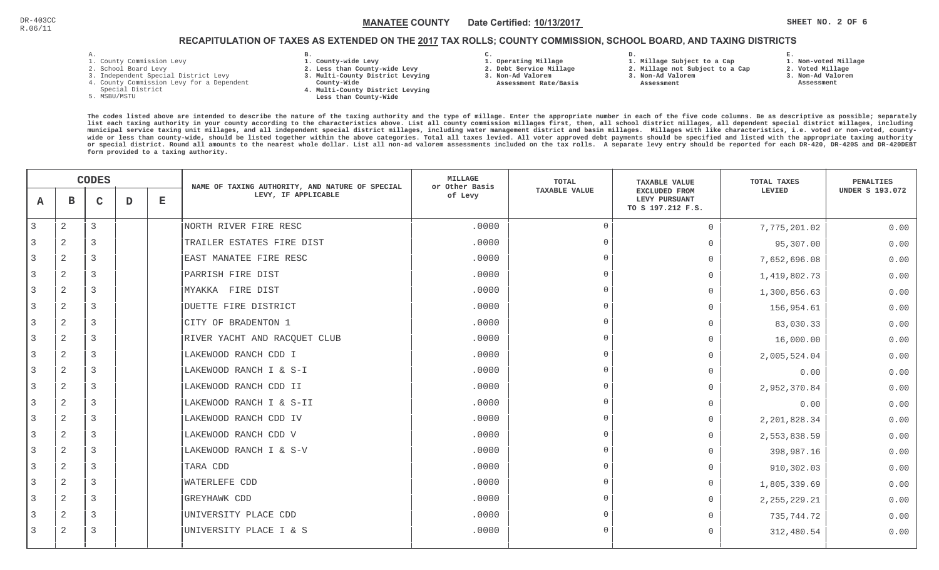**1. Non-voted Millage**

# RECAPITULATION OF TAXES AS EXTENDED ON THE <u>2017</u> TAX ROLLS; COUNTY COMMISSION, SCHOOL BOARD, AND TAXING DISTRICTS

- 1. County Commission Levy
- 2. School Board Levy
- 3. Independent Special District Levy
- 4. County Commission Levy for a Dependent
- Special District
- 5. MSBU/MSTU
- **B. 1. County-wide Levy**
- **2. Less than County-wide Levy**
- **3. Multi-County District Levying**
- **County-Wide**
- **4. Multi-County District Levying Less than County-Wide**
- **C.**
- **1. Operating Millage**
- **2. Debt Service Millage 3. Non-Ad Valorem**
- **Assessment Rate/Basis**
- **2. Millage not Subject to a Cap3. Non-Ad Valorem**

**D.** 

 **Assessment** 

**1. Millage Subject to a Cap**

- 
- 

**E.**

**2. Voted Millage 3. Non-Ad Valorem Assessment**

|   |                | <b>CODES</b> |   |             | NAME OF TAXING AUTHORITY, AND NATURE OF SPECIAL | <b>MILLAGE</b><br>or Other Basis | <b>TOTAL</b>  | <b>TAXABLE VALUE</b>                                | <b>TOTAL TAXES</b> | <b>PENALTIES</b>       |
|---|----------------|--------------|---|-------------|-------------------------------------------------|----------------------------------|---------------|-----------------------------------------------------|--------------------|------------------------|
| A | в              | C            | D | $\mathbf E$ | LEVY, IF APPLICABLE                             | of Levy                          | TAXABLE VALUE | EXCLUDED FROM<br>LEVY PURSUANT<br>TO S 197.212 F.S. | LEVIED             | <b>UNDER S 193.072</b> |
| 3 | $\mathbf{2}$   | 3            |   |             | NORTH RIVER FIRE RESC                           | .0000                            | $\Omega$      | $\Omega$                                            | 7,775,201.02       | 0.00                   |
|   | 2              | 3            |   |             | TRAILER ESTATES FIRE DIST                       | .0000                            | $\Omega$      | $\Omega$                                            | 95,307.00          | 0.00                   |
|   | 2              | 3            |   |             | EAST MANATEE FIRE RESC                          | .0000                            | $\Omega$      | $\Omega$                                            | 7,652,696.08       | 0.00                   |
| 3 | 2              | 3            |   |             | PARRISH FIRE DIST                               | .0000                            | $\Omega$      | $\Omega$                                            | 1,419,802.73       | 0.00                   |
| 3 | 2              | 3            |   |             | MYAKKA FIRE DIST                                | .0000                            | $\Omega$      | $\Omega$                                            | 1,300,856.63       | 0.00                   |
|   | 2              | 3            |   |             | DUETTE FIRE DISTRICT                            | .0000                            | $\Omega$      | $\Omega$                                            | 156,954.61         | 0.00                   |
|   | 2              | 3            |   |             | CITY OF BRADENTON 1                             | .0000                            | $\Omega$      | $\Omega$                                            | 83,030.33          | 0.00                   |
| 3 | 2              | 3            |   |             | RIVER YACHT AND RACQUET CLUB                    | .0000                            | $\Omega$      | $\Omega$                                            | 16,000.00          | 0.00                   |
|   | 2              | 3            |   |             | LAKEWOOD RANCH CDD I                            | .0000                            | $\Omega$      | 0                                                   | 2,005,524.04       | 0.00                   |
| 3 | 2              | 3            |   |             | LAKEWOOD RANCH I & S-I                          | .0000                            | $\Omega$      | $\Omega$                                            | 0.00               | 0.00                   |
| 3 | 2              | 3            |   |             | LAKEWOOD RANCH CDD II                           | .0000                            | $\Omega$      | $\Omega$                                            | 2,952,370.84       | 0.00                   |
| 3 | 2              | 3            |   |             | LAKEWOOD RANCH I & S-II                         | .0000                            | $\Omega$      | $\Omega$                                            | 0.00               | 0.00                   |
|   | 2              | 3            |   |             | LAKEWOOD RANCH CDD IV                           | .0000                            | $\Omega$      | $\Omega$                                            | 2, 201, 828.34     | 0.00                   |
|   | 2              | 3            |   |             | LAKEWOOD RANCH CDD V                            | .0000                            | $\Omega$      | $\Omega$                                            | 2,553,838.59       | 0.00                   |
| 3 | $\overline{2}$ | 3            |   |             | LAKEWOOD RANCH I & S-V                          | .0000                            | $\Omega$      | $\Omega$                                            | 398,987.16         | 0.00                   |
|   | 2              | 3            |   |             | TARA CDD                                        | .0000                            | $\Omega$      | $\Omega$                                            | 910,302.03         | 0.00                   |
| 3 | 2              | 3            |   |             | <b>WATERLEFE CDD</b>                            | .0000                            | $\Omega$      | 0                                                   | 1,805,339.69       | 0.00                   |
| 3 | 2              | 3            |   |             | <b>GREYHAWK CDD</b>                             | .0000                            | $\Omega$      | $\Omega$                                            | 2, 255, 229.21     | 0.00                   |
| 3 | 2              | 3            |   |             | UNIVERSITY PLACE CDD                            | .0000                            | $\Omega$      | $\Omega$                                            | 735,744.72         | 0.00                   |
| 3 | 2              | 3            |   |             | UNIVERSITY PLACE I & S                          | .0000                            | $\Omega$      | $\Omega$                                            | 312,480.54         | 0.00                   |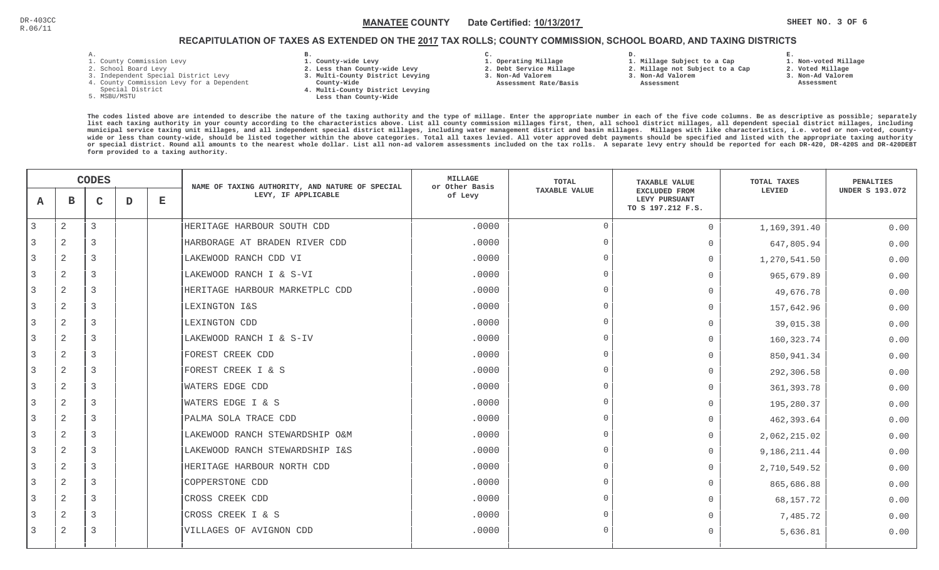# RECAPITULATION OF TAXES AS EXTENDED ON THE <u>2017</u> TAX ROLLS; COUNTY COMMISSION, SCHOOL BOARD, AND TAXING DISTRICTS

- 1. County Commission Levy
- 2. School Board Levy
- 3. Independent Special District Levy
- 4. County Commission Levy for a Dependent
- Special District
- 5. MSBU/MSTU
- **B. 1. County-wide Levy**
- **2. Less than County-wide Levy**
- **3. Multi-County District Levying**
- **County-Wide** 
	- **4. Multi-County District Levying Less than County-Wide**

**C.** 

**3. Non-Ad Valorem Assessment Rate/Basis**

- **1. Operating Millage**
- **2. Debt Service Millage 1. Millage Subject to a Cap**
	- **2. Millage not Subject to a Cap3. Non-Ad Valorem**

**D.** 

 **Assessment** 

- **E.1. Non-voted Millage**
- **2. Voted Millage**
- **3. Non-Ad Valorem**
- **Assessment**

|   |                | <b>CODES</b> |   |             | NAME OF TAXING AUTHORITY, AND NATURE OF SPECIAL | <b>MILLAGE</b><br>or Other Basis | TOTAL                | <b>TAXABLE VALUE</b>                                       | TOTAL TAXES  | PENALTIES              |
|---|----------------|--------------|---|-------------|-------------------------------------------------|----------------------------------|----------------------|------------------------------------------------------------|--------------|------------------------|
| A | $\mathbf{B}$   | C            | D | $\mathbf E$ | LEVY, IF APPLICABLE                             | of Levy                          | <b>TAXABLE VALUE</b> | <b>EXCLUDED FROM</b><br>LEVY PURSUANT<br>TO S 197.212 F.S. | LEVIED       | <b>UNDER S 193.072</b> |
| 3 | $\mathbf{2}$   | 3            |   |             | HERITAGE HARBOUR SOUTH CDD                      | .0000                            | $\Omega$             | $\Omega$                                                   | 1,169,391.40 | 0.00                   |
|   | 2              | 3            |   |             | HARBORAGE AT BRADEN RIVER CDD                   | .0000                            | $\Omega$             | $\Omega$                                                   | 647,805.94   | 0.00                   |
| 3 | 2              | 3            |   |             | LAKEWOOD RANCH CDD VI                           | .0000                            | $\Omega$             | $\mathbf 0$                                                | 1,270,541.50 | 0.00                   |
| 3 | 2              | 3            |   |             | LAKEWOOD RANCH I & S-VI                         | .0000                            | $\Omega$             | $\Omega$                                                   | 965,679.89   | 0.00                   |
| 3 | 2              | 3            |   |             | HERITAGE HARBOUR MARKETPLC CDD                  | .0000                            | $\Omega$             | $\Omega$                                                   | 49,676.78    | 0.00                   |
| 3 | 2              | 3            |   |             | LEXINGTON I&S                                   | .0000                            | $\Omega$             | $\Omega$                                                   | 157,642.96   | 0.00                   |
|   | 2              | 3            |   |             | LEXINGTON CDD                                   | .0000                            | $\Omega$             | $\Omega$                                                   | 39,015.38    | 0.00                   |
|   | 2              | 3            |   |             | LAKEWOOD RANCH I & S-IV                         | .0000                            | $\Omega$             | $\Omega$                                                   | 160, 323.74  | 0.00                   |
|   | 2              | 3            |   |             | FOREST CREEK CDD                                | .0000                            | $\Omega$             | $\Omega$                                                   | 850,941.34   | 0.00                   |
|   | 2              | 3            |   |             | FOREST CREEK I & S                              | .0000                            | $\Omega$             | $\Omega$                                                   | 292,306.58   | 0.00                   |
| 3 | $\overline{2}$ | 3            |   |             | <b>WATERS EDGE CDD</b>                          | .0000                            | $\Omega$             | $\Omega$                                                   | 361, 393.78  | 0.00                   |
|   | $\mathbf{2}$   | 3            |   |             | <b>WATERS EDGE I &amp; S</b>                    | .0000                            | $\Omega$             | $\Omega$                                                   | 195,280.37   | 0.00                   |
|   | 2              | 3            |   |             | PALMA SOLA TRACE CDD                            | .0000                            | $\Omega$             | $\Omega$                                                   | 462,393.64   | 0.00                   |
|   | 2              | 3            |   |             | LAKEWOOD RANCH STEWARDSHIP O&M                  | .0000                            | $\Omega$             | $\Omega$                                                   | 2,062,215.02 | 0.00                   |
| 3 | 2              | 3            |   |             | LAKEWOOD RANCH STEWARDSHIP I&S                  | .0000                            | $\Omega$             | $\Omega$                                                   | 9,186,211.44 | 0.00                   |
|   | 2              | 3            |   |             | HERITAGE HARBOUR NORTH CDD                      | .0000                            | $\Omega$             | $\Omega$                                                   | 2,710,549.52 | 0.00                   |
| 3 | 2              | 3            |   |             | COPPERSTONE CDD                                 | .0000                            | $\Omega$             | $\Omega$                                                   | 865,686.88   | 0.00                   |
| 3 | 2              | 3            |   |             | CROSS CREEK CDD                                 | .0000                            | $\overline{0}$       | $\Omega$                                                   | 68,157.72    | 0.00                   |
|   | 2              | 3            |   |             | CROSS CREEK I & S                               | .0000                            | $\Omega$             | $\Omega$                                                   | 7,485.72     | 0.00                   |
| 3 | $\mathbf{2}$   | 3            |   |             | VILLAGES OF AVIGNON CDD                         | .0000                            | $\Omega$             | $\Omega$                                                   | 5,636.81     | 0.00                   |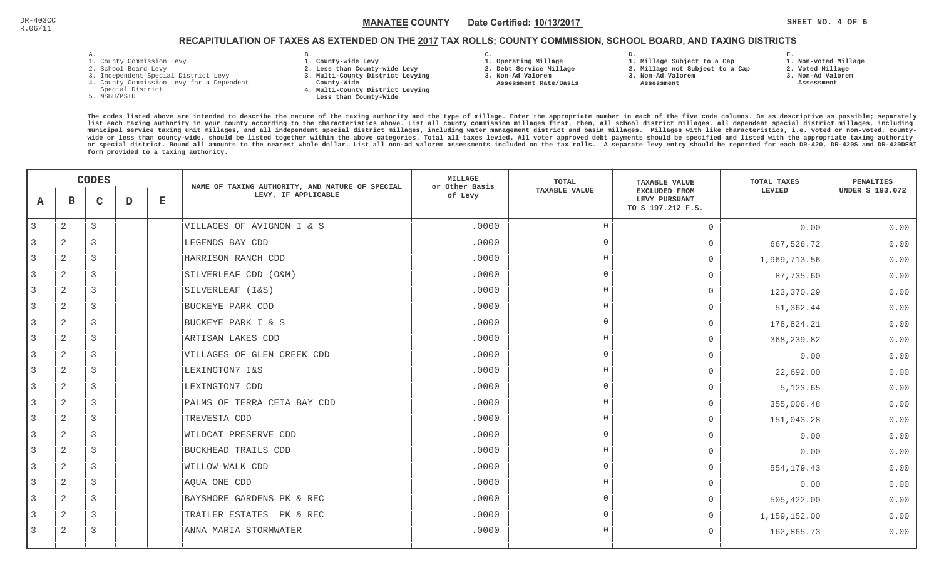# RECAPITULATION OF TAXES AS EXTENDED ON THE <u>2017</u> TAX ROLLS; COUNTY COMMISSION, SCHOOL BOARD, AND TAXING DISTRICTS

- 1. County Commission Levy
- 2. School Board Levy
- 3. Independent Special District Levy
- 4. County Commission Levy for a Dependent
- Special District
- 5. MSBU/MSTU
- **B. 1. County-wide Levy**
- **2. Less than County-wide Levy**
- **3. Multi-County District Levying**
- **County-Wide** 
	- **4. Multi-County District Levying Less than County-Wide**

**C.** 

**3. Non-Ad Valorem Assessment Rate/Basis**

- **1. Operating Millage 2. Debt Service Millage**
- **1. Millage Subject to a Cap**

**D.** 

- **2. Millage not Subject to a Cap**
- **3. Non-Ad Valorem**
	- **Assessment**

**1. Non-voted Millage**

**E.**

- **2. Voted Millage**
- **3. Non-Ad Valorem**
- **Assessment**

|   | <b>CODES</b>   |                |   | NAME OF TAXING AUTHORITY, AND NATURE OF SPECIAL | <b>MILLAGE</b><br>or Other Basis | TOTAL   | <b>TAXABLE VALUE</b> | TOTAL TAXES                                                | PENALTIES    |                        |
|---|----------------|----------------|---|-------------------------------------------------|----------------------------------|---------|----------------------|------------------------------------------------------------|--------------|------------------------|
| Α | $\mathbf B$    | C              | D | $\mathbf E$                                     | LEVY, IF APPLICABLE              | of Levy | <b>TAXABLE VALUE</b> | <b>EXCLUDED FROM</b><br>LEVY PURSUANT<br>TO S 197.212 F.S. | LEVIED       | <b>UNDER S 193.072</b> |
| 3 | $\overline{2}$ | 3              |   |                                                 | VILLAGES OF AVIGNON I & S        | .0000   | $\overline{0}$       | $\Omega$                                                   | 0.00         | 0.00                   |
|   | $\overline{2}$ | 3              |   |                                                 | LEGENDS BAY CDD                  | .0000   | $\Omega$             | $\Omega$                                                   | 667,526.72   | 0.00                   |
| 3 | 2              | $\mathcal{R}$  |   |                                                 | HARRISON RANCH CDD               | .0000   | $\cap$               | $\Omega$                                                   | 1,969,713.56 | 0.00                   |
| 3 | $\overline{2}$ | 3              |   |                                                 | SILVERLEAF CDD (O&M)             | .0000   | $\cap$               | $\Omega$                                                   | 87,735.60    | 0.00                   |
| 3 | 2              | 3              |   |                                                 | SILVERLEAF (I&S)                 | .0000   | $\cap$               | $\Omega$                                                   | 123,370.29   | 0.00                   |
| 3 | $\mathbf{2}$   | 3              |   |                                                 | BUCKEYE PARK CDD                 | .0000   | $\cap$               | $\Omega$                                                   | 51,362.44    | 0.00                   |
| 3 | 2              | 3              |   |                                                 | BUCKEYE PARK I & S               | .0000   | $\Omega$             | $\Omega$                                                   | 178,824.21   | 0.00                   |
| 3 | 2              | 3              |   |                                                 | ARTISAN LAKES CDD                | .0000   | $\cap$               | $\Omega$                                                   | 368, 239.82  | 0.00                   |
|   | $\overline{2}$ | 3              |   |                                                 | VILLAGES OF GLEN CREEK CDD       | .0000   | $\cap$               | $\Omega$                                                   | 0.00         | 0.00                   |
| 3 | $\overline{2}$ | 3              |   |                                                 | LEXINGTON7 I&S                   | .0000   | $\cap$               | $\Omega$                                                   | 22,692.00    | 0.00                   |
| 3 | $\overline{c}$ | 3              |   |                                                 | LEXINGTON7 CDD                   | .0000   | $\cap$               | $\Omega$                                                   | 5,123.65     | 0.00                   |
| 3 | $\overline{2}$ | 3              |   |                                                 | PALMS OF TERRA CEIA BAY CDD      | .0000   | $\Omega$             | $\Omega$                                                   | 355,006.48   | 0.00                   |
| 3 | 2              | $\overline{3}$ |   |                                                 | TREVESTA CDD                     | .0000   | $\Omega$             | $\Omega$                                                   | 151,043.28   | 0.00                   |
| 3 | 2              | 3              |   |                                                 | WILDCAT PRESERVE CDD             | .0000   | $\cap$               | $\Omega$                                                   | 0.00         | 0.00                   |
| 3 | $\overline{2}$ | 3              |   |                                                 | BUCKHEAD TRAILS CDD              | .0000   |                      | $\Omega$                                                   | 0.00         | 0.00                   |
| 3 | $\overline{2}$ | 3              |   |                                                 | WILLOW WALK CDD                  | .0000   | $\Omega$             | 0                                                          | 554, 179. 43 | 0.00                   |
| 3 | 2              | 3              |   |                                                 | AQUA ONE CDD                     | .0000   | $\cap$               | $\Omega$                                                   | 0.00         | 0.00                   |
| 3 | 2              | 3              |   |                                                 | BAYSHORE GARDENS PK & REC        | .0000   | $\Omega$             | 0                                                          | 505,422.00   | 0.00                   |
| 3 | 2              | $\overline{3}$ |   |                                                 | TRAILER ESTATES PK & REC         | .0000   | $\Omega$             | $\Omega$                                                   | 1,159,152.00 | 0.00                   |
| 3 | 2              | 3              |   |                                                 | ANNA MARIA STORMWATER            | .0000   | $\Omega$             | $\Omega$                                                   | 162,865.73   | 0.00                   |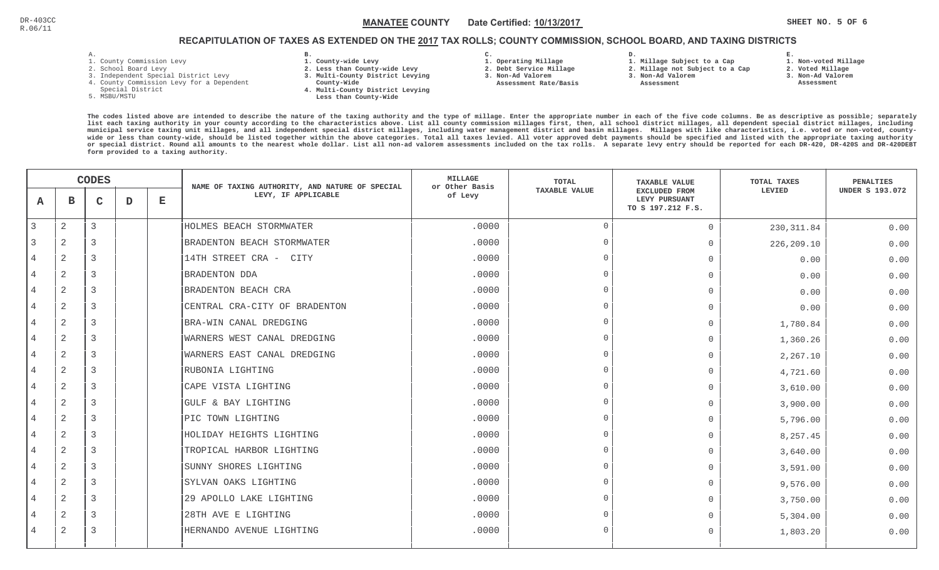**1. Non-voted Millage**

# RECAPITULATION OF TAXES AS EXTENDED ON THE <u>2017</u> TAX ROLLS; COUNTY COMMISSION, SCHOOL BOARD, AND TAXING DISTRICTS

- 1. County Commission Levy
- 2. School Board Levy
- 3. Independent Special District Levy
- 4. County Commission Levy for a Dependent
- Special District
- 5. MSBU/MSTU
- **B. 1. County-wide Levy**
- **2. Less than County-wide Levy**
- **3. Multi-County District Levying**
- **County-Wide** 
	- **4. Multi-County District Levying Less than County-Wide**
- **C. 3. Non-Ad Valorem**

**2. Debt Service Millage** 

 **Assessment Rate/Basis**

- **1. Operating Millage**
- **1. Millage Subject to a Cap**

**D.** 

- **2. Millage not Subject to a Cap3. Non-Ad Valorem**
- **Assessment** 
	- -
- **2. Voted Millage**

**E.**

- **3. Non-Ad Valorem**
- **Assessment**

|                |                | <b>CODES</b> |   |   | NAME OF TAXING AUTHORITY, AND NATURE OF SPECIAL | <b>MILLAGE</b><br>or Other Basis | <b>TOTAL</b>         | <b>TAXABLE VALUE</b>                                       | TOTAL TAXES | <b>PENALTIES</b>       |
|----------------|----------------|--------------|---|---|-------------------------------------------------|----------------------------------|----------------------|------------------------------------------------------------|-------------|------------------------|
| A              | в              | C            | D | Е | LEVY, IF APPLICABLE                             | of Levy                          | <b>TAXABLE VALUE</b> | <b>EXCLUDED FROM</b><br>LEVY PURSUANT<br>TO S 197.212 F.S. | LEVIED      | <b>UNDER S 193.072</b> |
| 3              | $\mathbf{2}$   | 3            |   |   | HOLMES BEACH STORMWATER                         | .0000                            | $\Omega$             | $\mathbf 0$                                                | 230, 311.84 | 0.00                   |
|                | 2              | 3            |   |   | BRADENTON BEACH STORMWATER                      | .0000                            | $\Omega$             | $\Omega$                                                   | 226,209.10  | 0.00                   |
| 4              | 2              | 3            |   |   | 14TH STREET CRA - CITY                          | .0000                            |                      | $\bigcap$                                                  | 0.00        | 0.00                   |
| $\overline{4}$ | 2              | 3            |   |   | <b>BRADENTON DDA</b>                            | .0000                            | $\cap$               | $\bigcap$                                                  | 0.00        | 0.00                   |
| $\overline{4}$ | $\overline{2}$ | 3            |   |   | BRADENTON BEACH CRA                             | .0000                            | $\cap$               | $\Omega$                                                   | 0.00        | 0.00                   |
|                | 2              | 3            |   |   | CENTRAL CRA-CITY OF BRADENTON                   | .0000                            | $\cap$               | $\bigcap$                                                  | 0.00        | 0.00                   |
| 4              | 2              | 3            |   |   | BRA-WIN CANAL DREDGING                          | .0000                            | $\cap$               | $\Omega$                                                   | 1,780.84    | 0.00                   |
|                | $\overline{2}$ | 3            |   |   | WARNERS WEST CANAL DREDGING                     | .0000                            |                      | $\Omega$                                                   | 1,360.26    | 0.00                   |
|                | $\overline{2}$ | 3            |   |   | WARNERS EAST CANAL DREDGING                     | .0000                            |                      | $\overline{0}$                                             | 2,267.10    | 0.00                   |
| $\overline{4}$ | $\mathbf{2}$   | 3            |   |   | RUBONIA LIGHTING                                | .0000                            | $\Omega$             | $\bigcap$                                                  | 4,721.60    | 0.00                   |
| $\overline{4}$ | $\mathbf{2}$   | 3            |   |   | CAPE VISTA LIGHTING                             | .0000                            | $\cap$               | $\Omega$                                                   | 3,610.00    | 0.00                   |
| 4              | 2              | 3            |   |   | GULF & BAY LIGHTING                             | .0000                            | $\Omega$             | $\Omega$                                                   | 3,900.00    | 0.00                   |
| $\overline{4}$ | $\mathbf{2}$   | 3            |   |   | PIC TOWN LIGHTING                               | .0000                            | $\cap$               | $\Omega$                                                   | 5,796.00    | 0.00                   |
|                | 2              | 3            |   |   | HOLIDAY HEIGHTS LIGHTING                        | .0000                            |                      | $\bigcap$                                                  | 8, 257.45   | 0.00                   |
| 4              | 2              | 3            |   |   | TROPICAL HARBOR LIGHTING                        | .0000                            |                      | $\overline{0}$                                             | 3,640.00    | 0.00                   |
| 4              | 2              | 3            |   |   | SUNNY SHORES LIGHTING                           | .0000                            |                      | $\bigcap$                                                  | 3,591.00    | 0.00                   |
| 4              | 2              | 3            |   |   | SYLVAN OAKS LIGHTING                            | .0000                            |                      | $\Omega$                                                   | 9,576.00    | 0.00                   |
| 4              | 2              | 3            |   |   | 29 APOLLO LAKE LIGHTING                         | .0000                            | $\cap$               | $\Omega$                                                   | 3,750.00    | 0.00                   |
|                | 2              | 3            |   |   | 28TH AVE E LIGHTING                             | .0000                            | $\Omega$             | $\bigcap$                                                  | 5,304.00    | 0.00                   |
| 4              | 2              | 3            |   |   | HERNANDO AVENUE LIGHTING                        | .0000                            | $\cap$               | $\Omega$                                                   | 1,803.20    | 0.00                   |